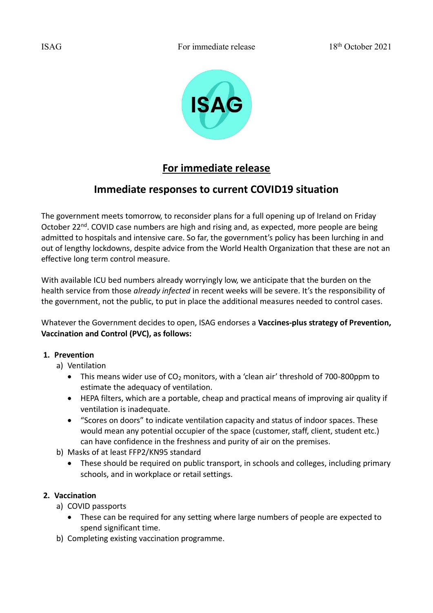

# **For immediate release**

## **Immediate responses to current COVID19 situation**

The government meets tomorrow, to reconsider plans for a full opening up of Ireland on Friday October 22<sup>nd</sup>. COVID case numbers are high and rising and, as expected, more people are being admitted to hospitals and intensive care. So far, the government's policy has been lurching in and out of lengthy lockdowns, despite advice from the World Health Organization that these are not an effective long term control measure.

With available ICU bed numbers already worryingly low, we anticipate that the burden on the health service from those *already infected* in recent weeks will be severe. It's the responsibility of the government, not the public, to put in place the additional measures needed to control cases.

Whatever the Government decides to open, ISAG endorses a **Vaccines-plus strategy of Prevention, Vaccination and Control (PVC), as follows:**

#### **1. Prevention**

- a) Ventilation
	- This means wider use of CO<sub>2</sub> monitors, with a 'clean air' threshold of 700-800ppm to estimate the adequacy of ventilation.
	- HEPA filters, which are a portable, cheap and practical means of improving air quality if ventilation is inadequate.
	- "Scores on doors" to indicate ventilation capacity and status of indoor spaces. These would mean any potential occupier of the space (customer, staff, client, student etc.) can have confidence in the freshness and purity of air on the premises.
- b) Masks of at least FFP2/KN95 standard
	- These should be required on public transport, in schools and colleges, including primary schools, and in workplace or retail settings.

#### **2. Vaccination**

- a) COVID passports
	- These can be required for any setting where large numbers of people are expected to spend significant time.
- b) Completing existing vaccination programme.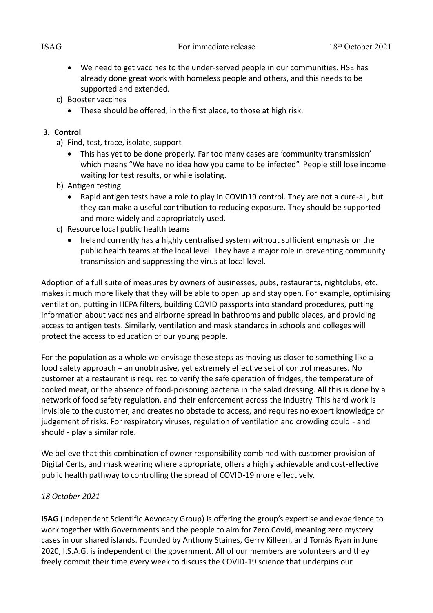- We need to get vaccines to the under-served people in our communities. HSE has already done great work with homeless people and others, and this needs to be supported and extended.
- c) Booster vaccines
	- These should be offered, in the first place, to those at high risk.

#### **3. Control**

- a) Find, test, trace, isolate, support
	- This has yet to be done properly. Far too many cases are 'community transmission' which means "We have no idea how you came to be infected". People still lose income waiting for test results, or while isolating.
- b) Antigen testing
	- Rapid antigen tests have a role to play in COVID19 control. They are not a cure-all, but they can make a useful contribution to reducing exposure. They should be supported and more widely and appropriately used.
- c) Resource local public health teams
	- Ireland currently has a highly centralised system without sufficient emphasis on the public health teams at the local level. They have a major role in preventing community transmission and suppressing the virus at local level.

Adoption of a full suite of measures by owners of businesses, pubs, restaurants, nightclubs, etc. makes it much more likely that they will be able to open up and stay open. For example, optimising ventilation, putting in HEPA filters, building COVID passports into standard procedures, putting information about vaccines and airborne spread in bathrooms and public places, and providing access to antigen tests. Similarly, ventilation and mask standards in schools and colleges will protect the access to education of our young people.

For the population as a whole we envisage these steps as moving us closer to something like a food safety approach – an unobtrusive, yet extremely effective set of control measures. No customer at a restaurant is required to verify the safe operation of fridges, the temperature of cooked meat, or the absence of food-poisoning bacteria in the salad dressing. All this is done by a network of food safety regulation, and their enforcement across the industry. This hard work is invisible to the customer, and creates no obstacle to access, and requires no expert knowledge or judgement of risks. For respiratory viruses, regulation of ventilation and crowding could - and should - play a similar role.

We believe that this combination of owner responsibility combined with customer provision of Digital Certs, and mask wearing where appropriate, offers a highly achievable and cost-effective public health pathway to controlling the spread of COVID-19 more effectively.

### *18 October 2021*

**ISAG** (Independent Scientific Advocacy Group) is offering the group's expertise and experience to work together with Governments and the people to aim for Zero Covid, meaning zero mystery cases in our shared islands. Founded by Anthony Staines, Gerry Killeen, and Tomás Ryan in June 2020, I.S.A.G. is independent of the government. All of our members are volunteers and they freely commit their time every week to discuss the COVID-19 science that underpins our